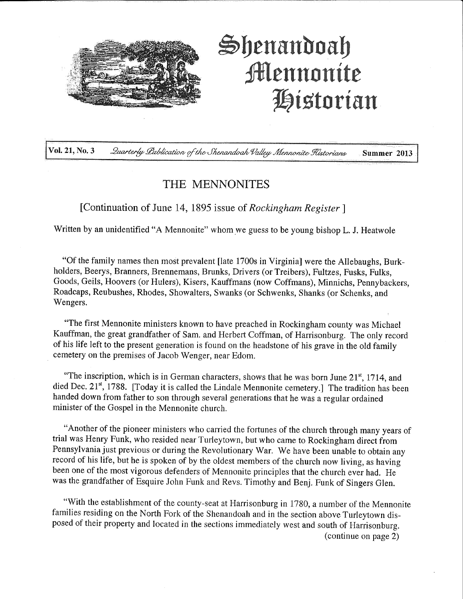

# **|)enanboa|) ifEennonite l^t^torian**

**Vol. 21, No. 3** 2 *Quarterly Lublication of the Shenandoah Valley Mennonite Flistorians* Summer 2013

### THE MENNONITES

[Continuation of June 14, 1895 issue of *Rockingham Register ]* 

Written by an unidentified "A Mennonite" whom we guess to be young bishop L. J. Heatwole

"Of the family names then most prevalent [late 1700s in Virginia] were the Allebaughs, Burkholders, Beerys, Branners, Brennemans, Brunks, Drivers (or Treibers), Fultzes, Fusks, Fulks, Goods, Geils, Hoovers (or Hulers), Risers, Kauffmans (now Coffmans), Minnichs, Pennybackers, Roadcaps, Reubushes, Rhodes, Showalters, Swanks (or Schwenks, Shanks (or Schenks, and Wengers.

"The first Mennonite ministers known to have preached in Rockingham county was Michael Kauffman, the great grandfather of Sam, and Herbert Coffman, of Harrisonburg. The only record of his life left to the present generation is found on the headstone of his grave in the old family cemetery on the premises of Jacob Wenger, near Edom.

"The inscription, which is in German characters, shows that he was born June 21<sup>st</sup>, 1714, and died Dec. 21<sup>st</sup>, 1788. [Today it is called the Lindale Mennonite cemetery.] The tradition has been handed down from father to son through several generations that he was a regular ordained minister of the Gospel in the Mennonite church.

"Another of the pioneer ministers who carried the fortunes of the church through many years of trial was Henry Funk, who resided near Turleytown, but who came to Rockingham direct from Pennsylvania just previous or during the Revolutionary War. We have been unable to obtain any record of his life, but he is spoken of by the oldest members of the church now living, as having been one of the most vigorous defenders of Mennonite principles that the church ever had. He was the grandfather of Esquire John Funk and Revs. Timothy and Benj. Funk of Singers Glen.

"With the establishment of the county-seat at Harrisonburg in 1780, a number of the Mennonite families residing on the North Fork of the Shenandoah and in the section above Turleytown disposed of their property and located in the sections immediately west and south of Harrisonburg. (continue on page 2)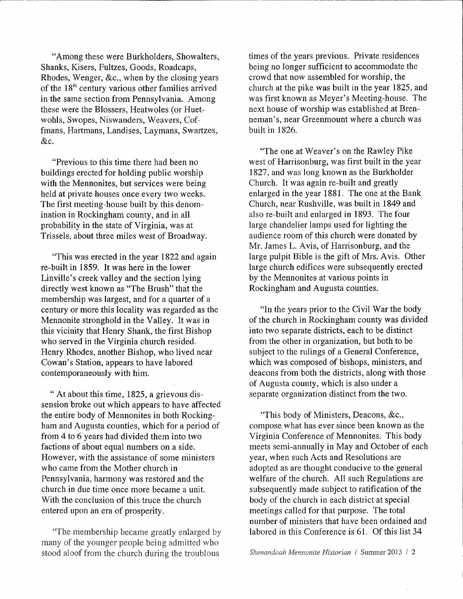"Among these were Burkholders, Showalters, Shanks, Risers, Fultzes, Goods, Roadcaps, Rhodes, Wenger, &c., when by the closing years of the 18<sup>th</sup> century various other families arrived in the same section from Pennsylvania. Among these were the Blossers, Heatwoles (or Huetwohls, Swopes, Niswanders, Weavers, Coffmans, Hartmans, Landises, Laymans, Swartzes, &c.

"Previous to this time there had been no buildings erected for holding public worship with the Mennonites, but services were being held at private houses once every two weeks. The first meeting-house built by this denomination in Rockingham county, and in all probability in the state of Virginia, was at Trissels, about three miles west of Broadway.

"This was erected in the year 1822 and again re-built in 1859. It was here in the lower Linville's creek valley and the section lying directly west known as "The Brush" that the membership was largest, and for a quarter of a century or more this locality was regarded as the Mennonite stronghold in the Valley. It was in this vicinity that Henry Shank, the first Bishop who served in the Virginia church resided. Henry Rhodes, another Bishop, who lived near Cowan's Station, appears to have labored contemporaneously with him.

" At about this time, 1825, a grievous dissension broke out which appears to have affected the entire body of Mennonites in both Rockingham and Augusta counties, which for a period of from 4 to 6 years had divided them into two factions of about equal numbers on a side. However, with the assistance of some ministers who came from the Mother church in Pennsylvania, harmony was restored and the church in due time once more became a unit. With the conclusion of this truce the church entered upon an era of prosperity.

"The membership became greatly enlarged by many of the younger people being admitted who stood aloof from the church during the troublous

times of the years previous. Private residences being no longer sufficient to accommodate the crowd that now assembled for worship, the church at the pike was built in the year 1825, and was first known as Meyer's Meeting-house. The next house of worship was established at Brenneman's, near Greenmount where a church was built in 1826.

"The one at Weaver's on the Rawley Pike west of Harrisonburg, was first built in the year 1827, and was long known as the Burkholder Church. It was again re-built and greatly enlarged in the year 1881. The one at the Bank Church, near Rushville, was built in 1849 and also re-built and enlarged in 1893. The four large chandelier lamps used for lighting the audience room of this church were donated by Mr, James L. Avis, of Harrisonburg, and the large pulpit Bible is the gift of Mrs. Avis. Other large church edifices were subsequently erected by the Mennonites at various points in Rockingham and Augusta counties.

"In the years prior to the Civil War the body of the church in Rockingham county was divided into two separate districts, each to be distinct from the other in organization, but both to be subject to the rulings of a General Conference, which was composed of bishops, ministers, and deacons from both the districts, along with those of Augusta county, which is also under a separate organization distinct from the two.

"This body of Ministers, Deacons, &c., compose what has ever since been known as the Virginia Conference of Mennonites, This body meets semi-annually in May and October of each year, when such Acts and Resolutions are adopted as are thought conducive to the general welfare of the church. All such Regulations are subsequently made subject to ratification of the body of the church in each district at special meetings called for that purpose. The total number of ministers that have been ordained and labored in this Conference is 61. Of this list 34

*She-nandoah Mennonite Historian* / Summer 2013 / 2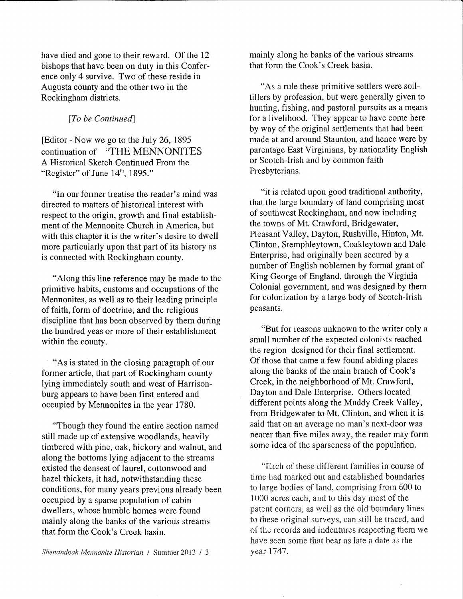have died and gone to their reward. Of the 12 bishops that have been on duty in this Conference only 4 survive. Two of these reside in Augusta county and the other two in the Rockingham districts.

#### *[To be Continued}*

[Editor - Now we go to the July 26, 1895 continuation of "THE MENNONITES A Historical Sketch Continued From the "Register" of June  $14<sup>th</sup>$ , 1895."

"In our former treatise the reader's mind was directed to matters of historical interest with respect to the origin, growth and final establishment of the Mennonite Church in America, but with this chapter it is the writer's desire to dwell more particularly upon that part of its history as is connected with Rockingham county.

"Along this line reference may be made to the primitive habits, customs and occupations of the Mennonites, as well as to their leading principle of faith, form of doctrine, and the religious discipline that has been observed by them during the hundred yeas or more of their establishment within the county.

"As is stated in the closing paragraph of our former article, that part of Rockingham county lying immediately south and west of Harrisonburg appears to have been first entered and occupied by Mennonites in the year 1780.

"Though they found the entire section named still made up of extensive woodlands, heavily timbered with pine, oak, hickory and walnut, and along the bottoms lying adjacent to the streams existed the densest of laurel, cotton wood and hazel thickets, it had, notwithstanding these conditions, for many years previous already been occupied by a sparse population of cabindwellers, whose humble homes were found mainly along the banks of the various streams that form the Cook's Creek basin.

mainly along he banks of the various streams that form the Cook's Creek basin.

"As a rule these primitive settlers were soiltillers by profession, but were generally given to hunting, fishing, and pastoral pursuits as a means for a livelihood. They appear to have come here by way of the original settlements that had been made at and around Staunton, and hence were by parentage East Virginians, by nationality English or Scotch-Irish and by common faith Presbyterians.

"it is related upon good traditional authority, that the large boundary of land comprising most of southwest Rockingham, and now including the towns of Mt. Crawford, Bridgewater, Pleasant Valley, Dayton, Rushville, Hinton, Mt. Clinton, Stemphleytown, Coakleytown and Dale Enterprise, had originally been secured by a number of English noblemen by formal grant of King George of England, through the Virginia Colonial government, and was designed by them for colonization by a large body of Scotch-Irish peasants.

"But for reasons unknown to the writer only a small number of the expected colonists reached the region designed for their final settlement. Of those that came a few found abiding places along the banks of the main branch of Cook's Creek, in the neighborhood of Mt. Crawford, Dayton and Dale Enterprise. Others located different points along the Muddy Creek Valley, from Bridgewater to Mt. Clinton, and when it is said that on an average no man's next-door was nearer than five miles away, the reader may form some idea of the sparseness of the population.

"Each of these different families in course of time had marked out and established boundaries to large bodies of land, comprising from 600 to 1000 acres each, and to this day most of the patent corners, as well as the old boundary lines to these original surveys, can still be traced, and of the records and indentures respecting them we have seen some that bear as late a date as the year 1747.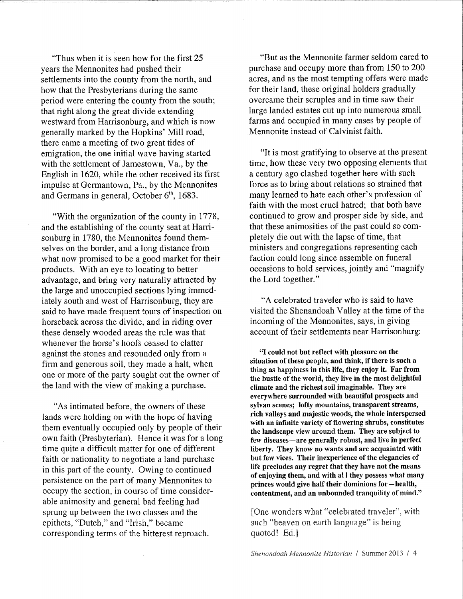"Thus when it is seen how for the first 25 years the Mennonites had pushed their settlements into the county from the north, and how that the Presbyterians during the same period were entering the county from the south; that right along the great divide extending westward from Harrisonburg, and which is now generally marked by the Hopkins' Mill road, there came a meeting of two great tides of emigration, the one initial wave having started with the settlement of Jamestown, Va., by the English in 1620, while the other received its first impulse at Germantown, Pa., by the Mennonites and Germans in general, October  $6^{\text{th}}$ , 1683.

"With the organization of the county in 1778, and the establishing of the county seat at Harrisonburg in 1780, the Mennonites found themselves on the border, and a long distance from what now promised to be a good market for their products. With an eye to locating to better advantage, and bring very naturally attracted by the large and unoccupied sections lying immediately south and west of Harrisonburg, they are said to have made frequent tours of inspection on horseback across the divide, and in riding over these densely wooded areas the rule was that whenever the horse's hoofs ceased to clatter against the stones and resounded only from a firm and generous soil, they made a halt, when one or more of the party sought out the owner of the land with the view of making a purchase.

"As intimated before, the owners of these lands were holding on with the hope of having them eventually occupied only by people of their own faith (Presbyterian). Hence it was for a long time quite a difficult matter for one of different faith or nationality to negotiate a land purchase in this part of the county. Owing to continued persistence on the part of many Mennonites to occupy the section, in course of time considerable animosity and general bad feeling had sprung up between the two classes and the epithets, "Dutch," and "Irish," became corresponding terms of the bitterest reproach.

"But as the Mennonite farmer seldom cared to purchase and occupy more than from 150 to 200 acres, and as the most tempting offers were made for their land, these original holders gradually overcame their scruples and in time saw their large landed estates cut up into numerous small farms and occupied in many cases by people of Mennonite instead of Calvinist faith.

"It is most gratifying to observe at the present time, how these very two opposing elements that a century ago clashed together here with such force as to bring about relations so strained that many learned to hate each other's profession of faith with the most cruel hatred; that both have continued to grow and prosper side by side, and that these animosities of the past could so completely die out with the lapse of time, that ministers and congregations representing each faction could long since assemble on funeral occasions to hold services, joindy and "magnify the Lord together."

"A celebrated traveler who is said to have visited the Shenandoah Valley at the time of the incoming of the Mennonites, says, in giving account of their settlements near Harrisonburg:

**"I could not but reflect with pleasure on the situation of these people, and think, if there is such a thing as happiness in this life, they enjoy it. Far from the bustle of the world, they live in the most delightful climate and the richest soil imaginable. They are everywhere surrounded with beautiful prospects and sylvan scenes; lofty mountains, transparent streams, rich valleys and majestic woods, the whole interspersed with an infinite variety of flowering shrubs, constitutes the landscape view around them. They are subject to few diseases—are generally robust, and live in perfect liberty. They know no wants and are acquainted with but few vices. Their inexperience of the elegancies of life precludes any regret that they have not the means of enjoying them, and with al I they possess what many princes would give half their dominions for—health, contentment, and an unbounded tranquility of mind."** 

[One wonders what "celebrated traveler", with such "heaven on earth language" is being quoted! Ed.J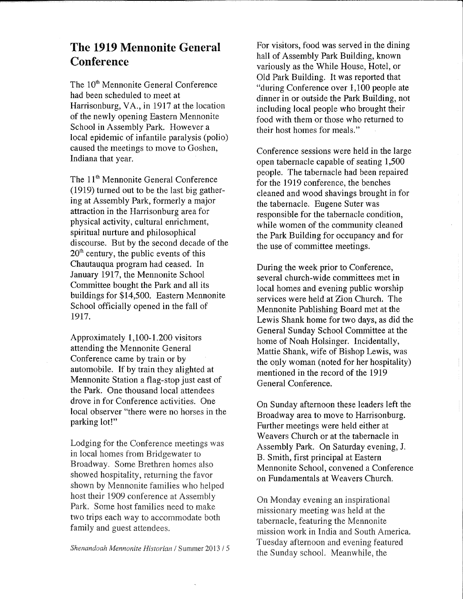## The 1919 Mennonite General **Conference**

The 10<sup>th</sup> Mennonite General Conference had been scheduled to meet at Harrisonburg, VA. , in 1917 at the location of the newly opening Eastern Mennonite School in Assembly Park. However a local epidemic of infantile paralysis (polio) caused the meetings to move to Goshen, Indiana that year.

The 11<sup>th</sup> Mennonite General Conference (1919) turned out to be the last big gathering at Assembly Park, formerly a major attraction in the Harrisonburg area for physical activity, cultural enrichment, spiritual nurture and philosophical discourse. But by the second decade of the  $20<sup>th</sup>$  century, the public events of this Chautauqua program had ceased. In January 1917, the Mennonite School Committee bought the Park and all its buildings for \$14,500. Eastern Mennonite School officially opened in the fall of 1917.

Approximately 1,100-1.200 visitors attending the Mennonite General Conference came by train or by automobile. If by train they alighted at Mennonite Station a flag-stop just east of the Park. One thousand local attendees drove in for Conference activities. One local observer "there were no horses in the parking lot!"

Lodging for the Conference meetings was in local homes from Bridgewater to Broadway. Some Brethren homes also showed hospitality, returning the favor shown by Mennonite families who helped host their 1909 conference at Assembly Park. Some host families need to make two trips each way to accommodate both family and guest attendees.

*Shenandoah Mennonite Historian I* Summer 2013 / 5

For visitors, food was served in the dining hall of Assembly Park Building, known variously as the While House, Hotel, or Old Park Building. It was reported that "during Conference over 1,100 people ate dinner in or outside the Park Building, not including local people who brought their food with them or those who returned to their host homes for meals,"

Conference sessions were held in the large open tabernacle capable of seating 1,500 people. The tabernacle had been repaired for the 1919 conference, the benches cleaned and wood shavings brought in for the tabernacle. Eugene Suter was responsible for the tabernacle condition, while women of the community cleaned the Park Building for occupancy and for the use of committee meetings.

During the week prior to Conference, several church-wide committees met in local homes and evening public worship services were held at Zion Church. The Mennonite Publishing Board met at the Lewis Shank home for two days, as did the General Sunday School Committee at the home of Noah Holsinger. Incidentally, Mattie Shank, wife of Bishop Lewis, was the only woman (noted for her hospitality) mentioned in the record of the 1919 General Conference.

On Sunday afternoon these leaders left the Broadway area to move to Harrisonburg. Further meetings were held either at Weavers Church or at the tabernacle in Assembly Park. On Saturday evening, J. B. Smith, first principal at Eastern Mennonite School, convened a Conference on Fundamentals at Weavers Church.

On Monday evening an inspirational missionary meeting was held at the tabernacle, featuring the Mennonite mission work in India and South America. Tuesday afternoon and evening featured the Sunday school. Meanwhile, the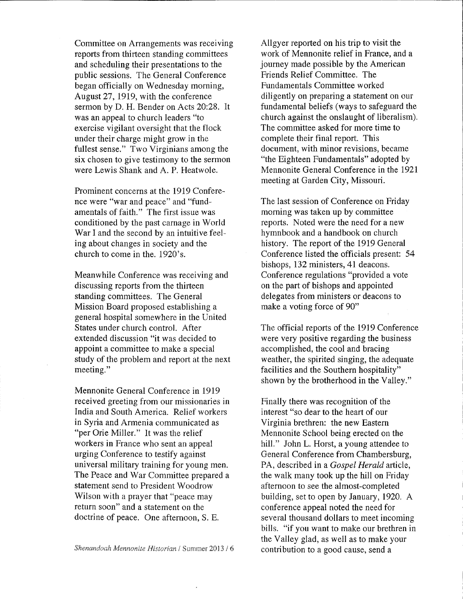Committee on Arrangements was receiving reports from thirteen standing committees and scheduling their presentations to the public sessions. The General Conference began officially on Wednesday morning, August 27, 1919, with the conference sermon by D. H. Bender on Acts 20:28. It was an appeal to church leaders "to exercise vigilant oversight that the flock under their charge might grow in the fullest sense." Two Virginians among the six chosen to give testimony to the sermon were Lewis Shank and A. P. Heatwole.

Prominent concerns at the 1919 Conference were "war and peace" and "fundamentals of faith." The first issue was conditioned by the past carnage in World War I and the second by an intuitive feeling about changes in society and the church to come in the. 1920's.

Meanwhile Conference was receiving and discussing reports from the thirteen standing committees. The General Mission Board proposed establishing a general hospital somewhere in the United States under church control. After extended discussion "it was decided to appoint a committee to make a special study of the problem and report at the next meeting."

Mennonite General Conference in 1919 received greeting from our missionaries in India and South America. Relief workers in Syria and Armenia communicated as "per Orie Miller." It was the relief workers in France who sent an appeal urging Conference to testify against universal military training for young men. The Peace and War Committee prepared a statement send to President Woodrow Wilson with a prayer that "peace may return soon" and a statement on the doctrine of peace. One afternoon, S. B.

AUgyer reported on his trip to visit the work of Mennonite relief in France, and a journey made possible by the American Friends Relief Committee. The Fundamentals Committee worked diligently on preparing a statement on our fundamental beliefs (ways to safeguard the church against the onslaught of liberalism). The committee asked for more time to complete their final report. This document, with minor revisions, became "the Eighteen Fundamentals" adopted by Mennonite General Conference in the 1921 meeting at Garden City, Missouri.

The last session of Conference on Friday morning was taken up by committee reports. Noted were the need for a new hymnbook and a handbook on church history. The report of the 1919 General Conference listed the officials present: 54 bishops, 132 ministers, 41 deacons. Conference regulations "provided a vote on the part of bishops and appointed delegates from ministers or deacons to make a voting force of 90"

The official reports of the 1919 Conference were very positive regarding the business accomplished, the cool and bracing weather, the spirited singing, the adequate facilities and the Southern hospitality" shown by the brotherhood in the Valley."

Finally there was recognition of the interest "so dear to the heart of our Virginia brethren: the new Eastern Mennonite School being erected on the hill." John L. Horst, a young attendee to General Conference from Chambersburg, PA, described in a *Gospel Herald* article, the walk many took up the hill on Friday afternoon to see the almost-completed building, set to open by January, 1920. A conference appeal noted the need for several thousand dollars to meet incoming bills, "if you want to make our brethren in the Valley glad, as well as to make your contribution to a good cause, send a